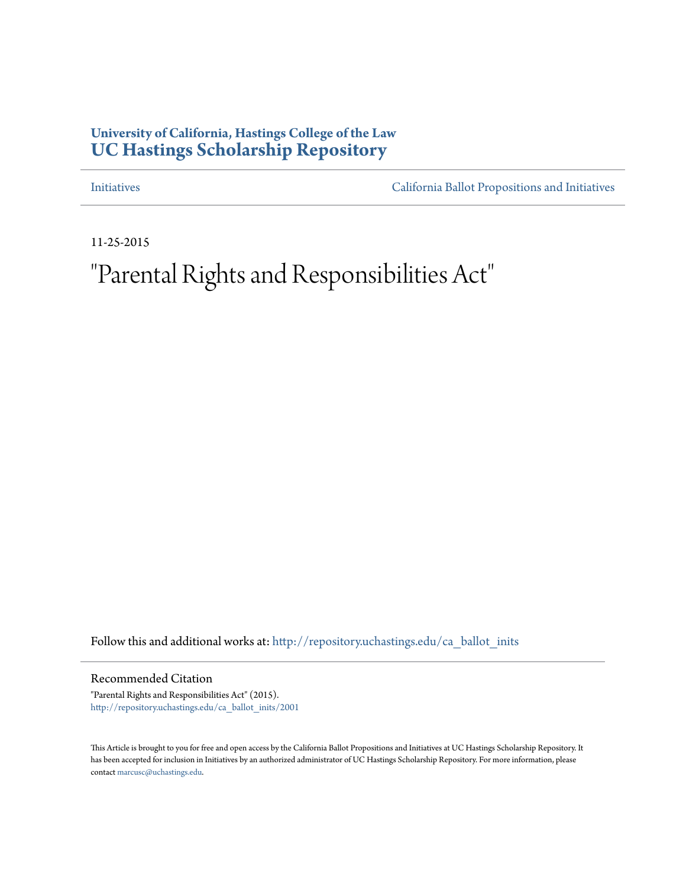## **University of California, Hastings College of the Law [UC Hastings Scholarship Repository](http://repository.uchastings.edu?utm_source=repository.uchastings.edu%2Fca_ballot_inits%2F2001&utm_medium=PDF&utm_campaign=PDFCoverPages)**

[Initiatives](http://repository.uchastings.edu/ca_ballot_inits?utm_source=repository.uchastings.edu%2Fca_ballot_inits%2F2001&utm_medium=PDF&utm_campaign=PDFCoverPages) [California Ballot Propositions and Initiatives](http://repository.uchastings.edu/ca_ballots?utm_source=repository.uchastings.edu%2Fca_ballot_inits%2F2001&utm_medium=PDF&utm_campaign=PDFCoverPages)

11-25-2015

# "Parental Rights and Responsibilities Act"

Follow this and additional works at: [http://repository.uchastings.edu/ca\\_ballot\\_inits](http://repository.uchastings.edu/ca_ballot_inits?utm_source=repository.uchastings.edu%2Fca_ballot_inits%2F2001&utm_medium=PDF&utm_campaign=PDFCoverPages)

Recommended Citation

"Parental Rights and Responsibilities Act" (2015). [http://repository.uchastings.edu/ca\\_ballot\\_inits/2001](http://repository.uchastings.edu/ca_ballot_inits/2001?utm_source=repository.uchastings.edu%2Fca_ballot_inits%2F2001&utm_medium=PDF&utm_campaign=PDFCoverPages)

This Article is brought to you for free and open access by the California Ballot Propositions and Initiatives at UC Hastings Scholarship Repository. It has been accepted for inclusion in Initiatives by an authorized administrator of UC Hastings Scholarship Repository. For more information, please contact [marcusc@uchastings.edu](mailto:marcusc@uchastings.edu).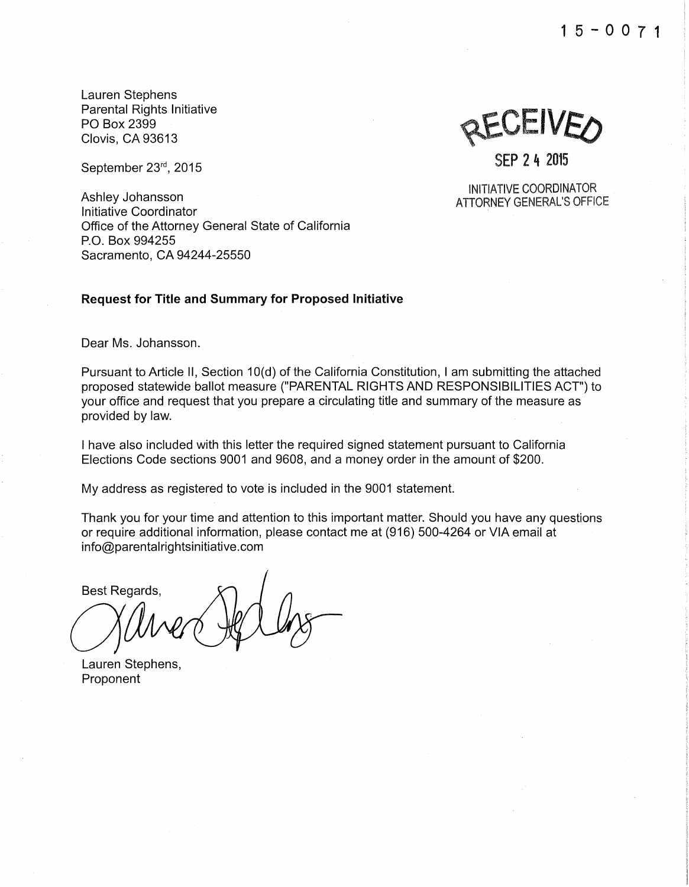15-0071

Lauren Stephens Parental Rights Initiative PO Box 2399 Clovis, CA 93613

September 23rd, 2015

Ashley Johansson Initiative Coordinator Office of the Attorney General State of California P.O. Box 994255 Sacramento, CA 94244-25550

#### **Request for Title and Summary for Proposed Initiative**

Dear Ms. Johansson.

Pursuant to Article II, Section 10(d) of the California Constitution, I am submitting the attached proposed statewide ballot measure ("PARENTAL RIGHTS AND RESPONSIBILITIES ACT") to your office and request that you prepare a circulating title and summary of the measure as provided by law.

I have also included with this letter the required signed statement pursuant to California Elections Code sections 9001 and 9608, and a money order in the amount of \$200.

My address as registered to vote is included in the 9001 statement.

Thank you for your time and attention to this important matter. Should you have any questions or require additional information, please contact me at (916) 500-4264 or VIA email at info@parentalrightsinitiative.com

Best Regards,

Lauren Stephens, Proponent

SEP 2 4 2015

INITIATIVE COORDINATOR ATTORNEY GENERAL'S OFFICE